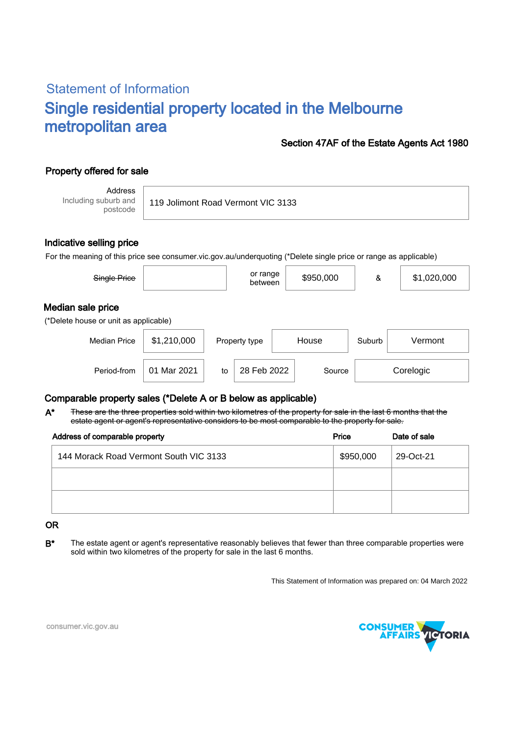# Statement of Information Single residential property located in the Melbourne metropolitan area

### Section 47AF of the Estate Agents Act 1980

## Property offered for sale

Address Including suburb and postcode

119 Jolimont Road Vermont VIC 3133

### Indicative selling price

For the meaning of this price see consumer.vic.gov.au/underquoting (\*Delete single price or range as applicable)

| Single Price                                               |             |    | or range<br>between    |  | \$950,000 | &       | \$1,020,000 |  |  |
|------------------------------------------------------------|-------------|----|------------------------|--|-----------|---------|-------------|--|--|
| Median sale price<br>(*Delete house or unit as applicable) |             |    |                        |  |           |         |             |  |  |
| <b>Median Price</b>                                        | \$1,210,000 |    | House<br>Property type |  | Suburb    | Vermont |             |  |  |
| Period-from                                                | 01 Mar 2021 | to | 28 Feb 2022            |  | Source    |         | Corelogic   |  |  |

### Comparable property sales (\*Delete A or B below as applicable)

These are the three properties sold within two kilometres of the property for sale in the last 6 months that the estate agent or agent's representative considers to be most comparable to the property for sale. A\*

| Address of comparable property         | Price     | Date of sale |  |
|----------------------------------------|-----------|--------------|--|
| 144 Morack Road Vermont South VIC 3133 | \$950,000 | 29-Oct-21    |  |
|                                        |           |              |  |
|                                        |           |              |  |

#### OR

B<sup>\*</sup> The estate agent or agent's representative reasonably believes that fewer than three comparable properties were sold within two kilometres of the property for sale in the last 6 months.

This Statement of Information was prepared on: 04 March 2022



consumer.vic.gov.au